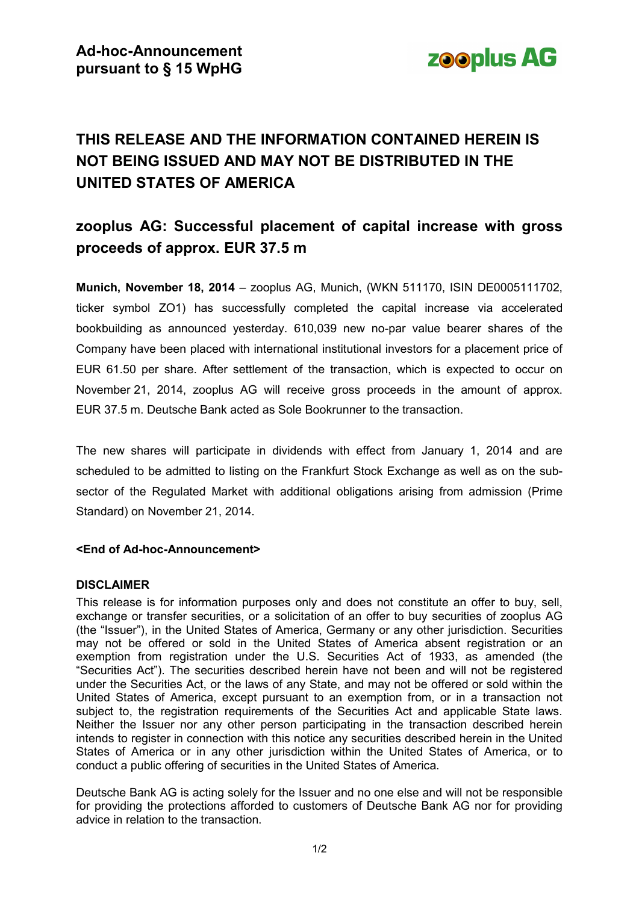

# **THIS RELEASE AND THE INFORMATION CONTAINED HEREIN IS NOT BEING ISSUED AND MAY NOT BE DISTRIBUTED IN THE UNITED STATES OF AMERICA**

## **zooplus AG: Successful placement of capital increase with gross proceeds of approx. EUR 37.5 m**

**Munich, November 18, 2014** – zooplus AG, Munich, (WKN 511170, ISIN DE0005111702, ticker symbol ZO1) has successfully completed the capital increase via accelerated bookbuilding as announced yesterday. 610,039 new no-par value bearer shares of the Company have been placed with international institutional investors for a placement price of EUR 61.50 per share. After settlement of the transaction, which is expected to occur on November 21, 2014, zooplus AG will receive gross proceeds in the amount of approx. EUR 37.5 m. Deutsche Bank acted as Sole Bookrunner to the transaction.

The new shares will participate in dividends with effect from January 1, 2014 and are scheduled to be admitted to listing on the Frankfurt Stock Exchange as well as on the subsector of the Regulated Market with additional obligations arising from admission (Prime Standard) on November 21, 2014.

#### **<End of Ad-hoc-Announcement>**

### **DISCLAIMER**

This release is for information purposes only and does not constitute an offer to buy, sell, exchange or transfer securities, or a solicitation of an offer to buy securities of zooplus AG (the "Issuer"), in the United States of America, Germany or any other jurisdiction. Securities may not be offered or sold in the United States of America absent registration or an exemption from registration under the U.S. Securities Act of 1933, as amended (the "Securities Act"). The securities described herein have not been and will not be registered under the Securities Act, or the laws of any State, and may not be offered or sold within the United States of America, except pursuant to an exemption from, or in a transaction not subject to, the registration requirements of the Securities Act and applicable State laws. Neither the Issuer nor any other person participating in the transaction described herein intends to register in connection with this notice any securities described herein in the United States of America or in any other jurisdiction within the United States of America, or to conduct a public offering of securities in the United States of America.

Deutsche Bank AG is acting solely for the Issuer and no one else and will not be responsible for providing the protections afforded to customers of Deutsche Bank AG nor for providing advice in relation to the transaction.